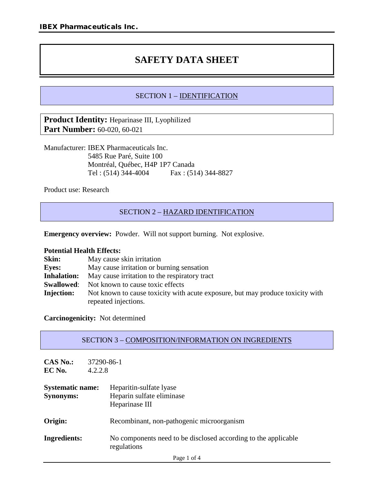# **SAFETY DATA SHEET**

# SECTION 1 – IDENTIFICATION

**Product Identity:** Heparinase III, Lyophilized **Part Number:** 60-020, 60-021

Manufacturer: IBEX Pharmaceuticals Inc. 5485 Rue Paré, Suite 100 Montréal, Québec, H4P 1P7 Canada Tel : (514) 344-4004 Fax : (514) 344-8827

Product use: Research

# SECTION 2 – HAZARD IDENTIFICATION

**Emergency overview:** Powder. Will not support burning. Not explosive.

#### **Potential Health Effects:**

| Skin:              | May cause skin irritation                                                      |
|--------------------|--------------------------------------------------------------------------------|
| <b>Eves:</b>       | May cause irritation or burning sensation                                      |
| <b>Inhalation:</b> | May cause irritation to the respiratory tract                                  |
| <b>Swallowed:</b>  | Not known to cause toxic effects                                               |
| <b>Injection:</b>  | Not known to cause toxicity with acute exposure, but may produce toxicity with |
|                    | repeated injections.                                                           |

**Carcinogenicity:** Not determined

| SECTION 3 – COMPOSITION/INFORMATION ON INGREDIENTS |
|----------------------------------------------------|
|----------------------------------------------------|

| $CAS\ No.$<br>EC No.                        | 37290-86-1<br>4.2.2.8                                                         |
|---------------------------------------------|-------------------------------------------------------------------------------|
| <b>Systematic name:</b><br><b>Synonyms:</b> | Heparitin-sulfate lyase<br>Heparin sulfate eliminase<br>Heparinase III        |
| Origin:                                     | Recombinant, non-pathogenic microorganism                                     |
| Ingredients:                                | No components need to be disclosed according to the applicable<br>regulations |
|                                             | Page 1 of 4                                                                   |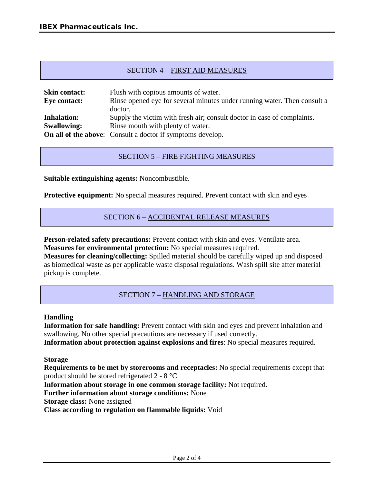# SECTION 4 – FIRST AID MEASURES

| <b>Skin contact:</b> | Flush with copious amounts of water.                                     |
|----------------------|--------------------------------------------------------------------------|
| <b>Eye contact:</b>  | Rinse opened eye for several minutes under running water. Then consult a |
|                      | doctor.                                                                  |
| <b>Inhalation:</b>   | Supply the victim with fresh air; consult doctor in case of complaints.  |
| <b>Swallowing:</b>   | Rinse mouth with plenty of water.                                        |
|                      | <b>On all of the above:</b> Consult a doctor if symptoms develop.        |

## SECTION 5 – FIRE FIGHTING MEASURES

**Suitable extinguishing agents:** Noncombustible.

**Protective equipment:** No special measures required. Prevent contact with skin and eyes

#### SECTION 6 – ACCIDENTAL RELEASE MEASURES

**Person-related safety precautions:** Prevent contact with skin and eyes. Ventilate area. **Measures for environmental protection:** No special measures required.

**Measures for cleaning/collecting:** Spilled material should be carefully wiped up and disposed as biomedical waste as per applicable waste disposal regulations. Wash spill site after material pickup is complete.

## SECTION 7 – HANDLING AND STORAGE

#### **Handling**

**Information for safe handling:** Prevent contact with skin and eyes and prevent inhalation and swallowing. No other special precautions are necessary if used correctly. **Information about protection against explosions and fires**: No special measures required.

**Storage**

**Requirements to be met by storerooms and receptacles:** No special requirements except that product should be stored refrigerated 2 - 8 °C

**Information about storage in one common storage facility:** Not required.

**Further information about storage conditions:** None

**Storage class:** None assigned

**Class according to regulation on flammable liquids:** Void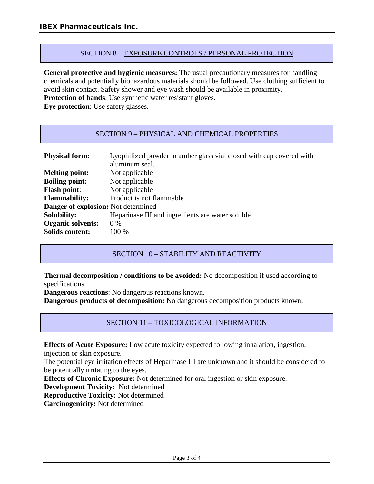#### SECTION 8 – EXPOSURE CONTROLS / PERSONAL PROTECTION

**General protective and hygienic measures:** The usual precautionary measures for handling chemicals and potentially biohazardous materials should be followed. Use clothing sufficient to avoid skin contact. Safety shower and eye wash should be available in proximity.

**Protection of hands**: Use synthetic water resistant gloves.

**Eye protection**: Use safety glasses.

#### SECTION 9 – PHYSICAL AND CHEMICAL PROPERTIES

| <b>Physical form:</b>               | Lyophilized powder in amber glass vial closed with cap covered with<br>aluminum seal. |
|-------------------------------------|---------------------------------------------------------------------------------------|
| <b>Melting point:</b>               | Not applicable                                                                        |
| <b>Boiling point:</b>               | Not applicable                                                                        |
| <b>Flash point:</b>                 | Not applicable                                                                        |
| <b>Flammability:</b>                | Product is not flammable                                                              |
| Danger of explosion: Not determined |                                                                                       |
| <b>Solubility:</b>                  | Heparinase III and ingredients are water soluble                                      |
| <b>Organic solvents:</b>            | $0\%$                                                                                 |
| <b>Solids content:</b>              | 100 %                                                                                 |

## SECTION 10 - STABILITY AND REACTIVITY

**Thermal decomposition / conditions to be avoided:** No decomposition if used according to specifications.

**Dangerous reactions**: No dangerous reactions known.

**Dangerous products of decomposition:** No dangerous decomposition products known.

## SECTION 11 – TOXICOLOGICAL INFORMATION

**Effects of Acute Exposure:** Low acute toxicity expected following inhalation, ingestion,

injection or skin exposure.

The potential eye irritation effects of Heparinase III are unknown and it should be considered to be potentially irritating to the eyes.

**Effects of Chronic Exposure:** Not determined for oral ingestion or skin exposure.

**Development Toxicity:** Not determined

**Reproductive Toxicity:** Not determined

**Carcinogenicity:** Not determined